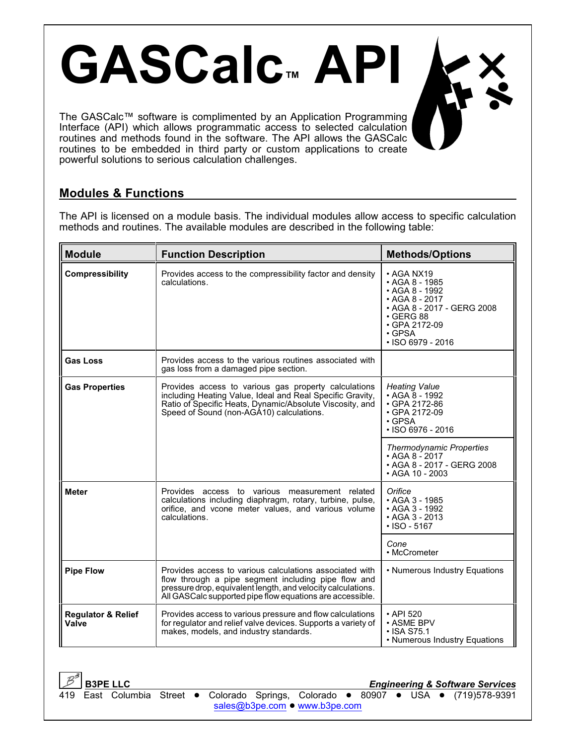The GASCalc™ software is complimented by an Application Programming Interface (API) which allows programmatic access to selected calculation routines and methods found in the software. The API allows the GASCalc routines to be embedded in third party or custom applications to create powerful solutions to serious calculation challenges.

**GASCalc™ API**

## **Modules & Functions**

The API is licensed on a module basis. The individual modules allow access to specific calculation methods and routines. The available modules are described in the following table:

| <b>Module</b>                          | <b>Function Description</b>                                                                                                                                                                                                                                                  | <b>Methods/Options</b>                                                                                                                                                                    |  |
|----------------------------------------|------------------------------------------------------------------------------------------------------------------------------------------------------------------------------------------------------------------------------------------------------------------------------|-------------------------------------------------------------------------------------------------------------------------------------------------------------------------------------------|--|
| Compressibility                        | Provides access to the compressibility factor and density<br>calculations.                                                                                                                                                                                                   | • AGA NX19<br>• AGA 8 - 1985<br>$\cdot$ AGA 8 - 1992<br>$\cdot$ AGA 8 - 2017<br>• AGA 8 - 2017 - GERG 2008<br>$\cdot$ GERG 88<br>• GPA 2172-09<br>$\cdot$ GPSA<br>$\cdot$ ISO 6979 - 2016 |  |
| <b>Gas Loss</b>                        | Provides access to the various routines associated with<br>gas loss from a damaged pipe section.                                                                                                                                                                             |                                                                                                                                                                                           |  |
| <b>Gas Properties</b>                  | Provides access to various gas property calculations<br>including Heating Value, Ideal and Real Specific Gravity,<br>Ratio of Specific Heats, Dynamic/Absolute Viscosity, and<br>Speed of Sound (non-AGA10) calculations.                                                    | <b>Heating Value</b><br>$\cdot$ AGA 8 - 1992<br>• GPA 2172-86<br>• GPA 2172-09<br>$\cdot$ GPSA<br>$\cdot$ ISO 6976 - 2016                                                                 |  |
|                                        |                                                                                                                                                                                                                                                                              | <b>Thermodynamic Properties</b><br>$\cdot$ AGA 8 - 2017<br>• AGA 8 - 2017 - GERG 2008<br>$\cdot$ AGA 10 - 2003                                                                            |  |
| <b>Meter</b>                           | Provides access to various measurement related<br>calculations including diaphragm, rotary, turbine, pulse,<br>orifice, and vcone meter values, and various volume<br>calculations.                                                                                          | Orifice<br>• AGA 3 - 1985<br>• AGA 3 - 1992<br>• AGA 3 - 2013<br>$\cdot$ ISO - 5167                                                                                                       |  |
|                                        |                                                                                                                                                                                                                                                                              | Cone<br>• McCrometer                                                                                                                                                                      |  |
| <b>Pipe Flow</b>                       | Provides access to various calculations associated with<br>• Numerous Industry Equations<br>flow through a pipe segment including pipe flow and<br>pressure drop, equivalent length, and velocity calculations.<br>All GASCalc supported pipe flow equations are accessible. |                                                                                                                                                                                           |  |
| <b>Regulator &amp; Relief</b><br>Valve | Provides access to various pressure and flow calculations<br>for regulator and relief valve devices. Supports a variety of<br>makes, models, and industry standards.                                                                                                         | $\cdot$ API 520<br>• ASME BPV<br>$\cdot$ ISA S75.1<br>• Numerous Industry Equations                                                                                                       |  |

**B3PE LLC** *Engineering & Software Services*